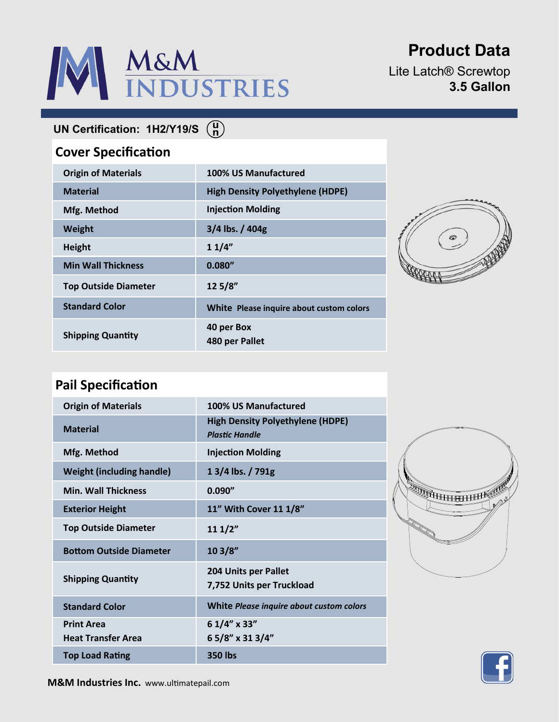# M&M

# **Product Data**

Lite Latch® Screwtop **3.5 Gallon**

**UN Certification: 1H2/Y19/S**

## **Cover Specification**

| <b>Origin of Materials</b>  | 100% US Manufactured                     |
|-----------------------------|------------------------------------------|
| <b>Material</b>             | <b>High Density Polyethylene (HDPE)</b>  |
| Mfg. Method                 | <b>Injection Molding</b>                 |
| <b>Weight</b>               | 3/4 lbs. / 404g                          |
| <b>Height</b>               | 11/4"                                    |
| <b>Min Wall Thickness</b>   | 0.080''                                  |
| <b>Top Outside Diameter</b> | 12 5/8"                                  |
| <b>Standard Color</b>       | White Please inquire about custom colors |
| <b>Shipping Quantity</b>    | 40 per Box<br>480 per Pallet             |



## **Pail Specification**

| <b>Origin of Materials</b>                     | 100% US Manufactured                                             |
|------------------------------------------------|------------------------------------------------------------------|
| <b>Material</b>                                | <b>High Density Polyethylene (HDPE)</b><br><b>Plastic Handle</b> |
| Mfg. Method                                    | <b>Injection Molding</b>                                         |
| <b>Weight (including handle)</b>               | 1 3/4 lbs. / 791g                                                |
| <b>Min. Wall Thickness</b>                     | 0.090''                                                          |
| <b>Exterior Height</b>                         | 11" With Cover 11 1/8"                                           |
| <b>Top Outside Diameter</b>                    | 111/2"                                                           |
| <b>Bottom Outside Diameter</b>                 | 103/8"                                                           |
| <b>Shipping Quantity</b>                       | 204 Units per Pallet<br>7,752 Units per Truckload                |
| <b>Standard Color</b>                          | White Please inquire about custom colors                         |
| <b>Print Area</b><br><b>Heat Transfer Area</b> | 6 1/4" x 33"<br>65/8" x 313/4"                                   |
| <b>Top Load Rating</b>                         | 350 lbs                                                          |
|                                                |                                                                  |